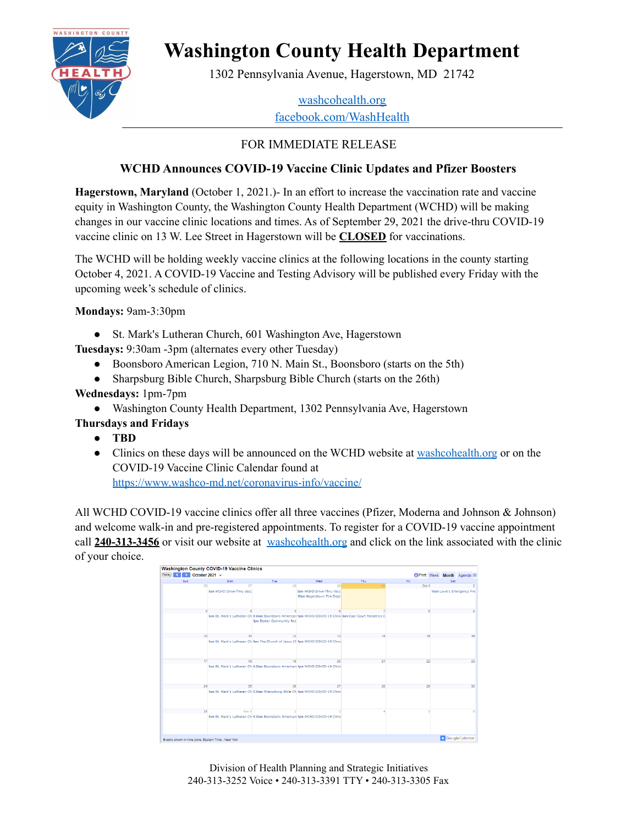

# **Washington County Health Department**

1302 Pennsylvania Avenue, Hagerstown, MD 21742

#### [washcohealth.org](http://washcohealth.org) [facebook.com/WashHealth](https://facebook.com/WashHealth)

## FOR IMMEDIATE RELEASE

### **WCHD Announces COVID-19 Vaccine Clinic Updates and Pfizer Boosters**

**Hagerstown, Maryland** (October 1, 2021.)- In an effort to increase the vaccination rate and vaccine equity in Washington County, the Washington County Health Department (WCHD) will be making changes in our vaccine clinic locations and times. As of September 29, 2021 the drive-thru COVID-19 vaccine clinic on 13 W. Lee Street in Hagerstown will be **CLOSED** for vaccinations.

The WCHD will be holding weekly vaccine clinics at the following locations in the county starting October 4, 2021. A COVID-19 Vaccine and Testing Advisory will be published every Friday with the upcoming week's schedule of clinics.

**Mondays:** 9am-3:30pm

• St. Mark's Lutheran Church, 601 Washington Ave, Hagerstown

**Tuesdays:** 9:30am -3pm (alternates every other Tuesday)

- Boonsboro American Legion, 710 N. Main St., Boonsboro (starts on the 5th)
- Sharpsburg Bible Church, Sharpsburg Bible Church (starts on the 26th)
- **Wednesdays:** 1pm-7pm
	- Washington County Health Department, 1302 Pennsylvania Ave, Hagerstown
- **Thursdays and Fridays**
	- **● TBD**
	- Clinics on these days will be announced on the WCHD website at [washcohealth.org](https://washcohealth.org/coronavirus-disease-2019-covid-19/wchd-vaccine-clinics/) or on the COVID-19 Vaccine Clinic Calendar found at <https://www.washco-md.net/coronavirus-info/vaccine/>

All WCHD COVID-19 vaccine clinics offer all three vaccines (Pfizer, Moderna and Johnson & Johnson) and welcome walk-in and pre-registered appointments. To register for a COVID-19 vaccine appointment call **240-313-3456** or visit our website at [washcohealth.org](https://washcohealth.org/coronavirus-disease-2019-covid-19/wchd-vaccine-clinics/) and click on the link associated with the clinic of your choice.

| Sun | Mon                      | Tue                                                                                                                                          | Wed                        | Thu                      | Fri   | Sat                       |
|-----|--------------------------|----------------------------------------------------------------------------------------------------------------------------------------------|----------------------------|--------------------------|-------|---------------------------|
| 26  | 27                       | 28                                                                                                                                           | 28                         | $\overline{\mathcal{M}}$ | Oct 1 |                           |
|     | Sam WCHD Drive-Thru Vacc |                                                                                                                                              | 9am WCHD Drive-Thru Vacc   |                          |       | 10am Lowe's Emergency Pre |
|     |                          |                                                                                                                                              | 10am Hagerstown Fire Dept. |                          |       |                           |
|     |                          |                                                                                                                                              |                            |                          |       |                           |
|     |                          | Sam St. Mark's Lutheran Ch 9:30am Boonsboro American 1pm WCHD COVID-19 Clinic Sam Opal Court Pediatrics C<br><b>5pm Bester Community Res</b> |                            |                          |       |                           |
| 10  |                          | 12                                                                                                                                           | 13                         | 14                       | 16    | 16                        |
|     |                          | Sam St. Mark's Lutheran Ch Sam The Church of Jesus Ch fom WCHD COVID-19 Clinic                                                               |                            |                          |       |                           |
| 17  | 18                       | 19                                                                                                                                           | 20                         | 21                       | 22    | 23                        |
|     |                          | Sam St. Mark's Lutheran Ch 9:30am Boonsboro American 1pm WCHD COVID-19 Clinic                                                                |                            |                          |       |                           |
| 24  | 25                       | 26                                                                                                                                           | 27                         | 28                       | 20    | 30                        |
|     |                          | Sam St. Mark's Lutheran Ch 9:30am Sharpsburg Bible Ch 1pm WCHD COVID-19 Clinic                                                               |                            |                          |       |                           |
| 21  | Nov 1                    |                                                                                                                                              |                            |                          |       |                           |
|     |                          | Sam St. Mark's Lutheran Ch 9:30am Boonsboro American 1pm WCHD COVID-19 Clinic                                                                |                            |                          |       |                           |

Division of Health Planning and Strategic Initiatives 240-313-3252 Voice • 240-313-3391 TTY • 240-313-3305 Fax